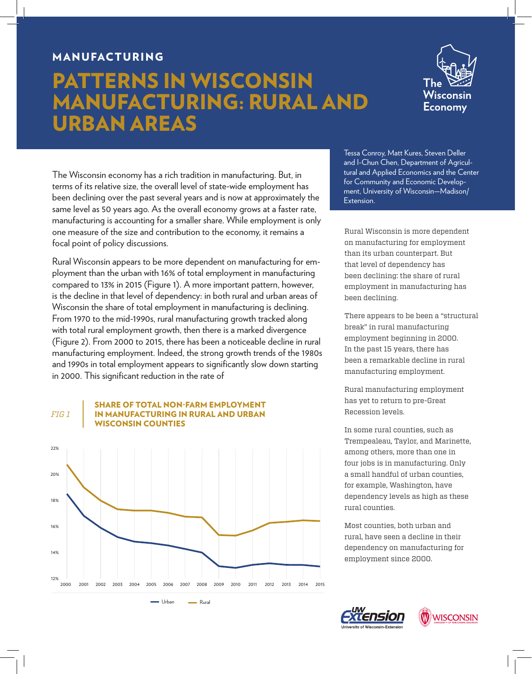### MANUFACTURING

## PATTERNS IN WISCONSIN MANUFACTURING: RURAL AND URBAN AREAS



The Wisconsin economy has a rich tradition in manufacturing. But, in terms of its relative size, the overall level of state-wide employment has been declining over the past several years and is now at approximately the same level as 50 years ago. As the overall economy grows at a faster rate, manufacturing is accounting for a smaller share. While employment is only one measure of the size and contribution to the economy, it remains a focal point of policy discussions.

Rural Wisconsin appears to be more dependent on manufacturing for employment than the urban with 16% of total employment in manufacturing compared to 13% in 2015 (Figure 1). A more important pattern, however, is the decline in that level of dependency: in both rural and urban areas of Wisconsin the share of total employment in manufacturing is declining. From 1970 to the mid-1990s, rural manufacturing growth tracked along with total rural employment growth, then there is a marked divergence (Figure 2). From 2000 to 2015, there has been a noticeable decline in rural manufacturing employment. Indeed, the strong growth trends of the 1980s and 1990s in total employment appears to significantly slow down starting in 2000. This significant reduction in the rate of

#### SHARE OF TOTAL NON-FARM EMPLOYMENT IN MANUFACTURING IN RURAL AND URBAN SCONSIN COUNTIES *FIG 1*



Tessa Conroy, Matt Kures, Steven Deller and I-Chun Chen, Department of Agricultural and Applied Economics and the Center for Community and Economic Development, University of Wisconsin—Madison/ Extension.

Rural Wisconsin is more dependent on manufacturing for employment than its urban counterpart. But that level of dependency has been declining: the share of rural employment in manufacturing has been declining.

There appears to be been a "structural break" in rural manufacturing employment beginning in 2000. In the past 15 years, there has been a remarkable decline in rural manufacturing employment.

Rural manufacturing employment has yet to return to pre-Great Recession levels.

In some rural counties, such as Trempealeau, Taylor, and Marinette, among others, more than one in four jobs is in manufacturing. Only a small handful of urban counties, for example, Washington, have dependency levels as high as these rural counties.

Most counties, both urban and rural, have seen a decline in their dependency on manufacturing for employment since 2000.